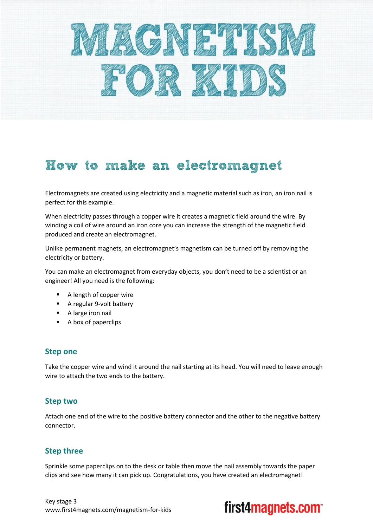

## How to make an electromagnet

Electromagnets are created using electricity and a magnetic material such as iron, an iron nail is perfect for this example.

When electricity passes through a copper wire it creates a magnetic field around the wire. By winding a coil of wire around an iron core you can increase the strength of the magnetic field produced and create an electromagnet.

Unlike permanent magnets, an electromagnet's magnetism can be turned off by removing the electricity or battery.

You can make an electromagnet from everyday objects, you don't need to be a scientist or an engineer! All you need is the following:

- A length of copper wire
- A regular 9-volt battery
- **A** large iron nail
- A box of paperclips

## **Step one**

Take the copper wire and wind it around the nail starting at its head. You will need to leave enough wire to attach the two ends to the battery.

## **Step two**

Attach one end of the wire to the positive battery connector and the other to the negative battery connector.

## **Step three**

Sprinkle some paperclips on to the desk or table then move the nail assembly towards the paper clips and see how many it can pick up. Congratulations, you have created an electromagnet!

Key stage 3 www.first4magnets.com/magnetism-for-kids